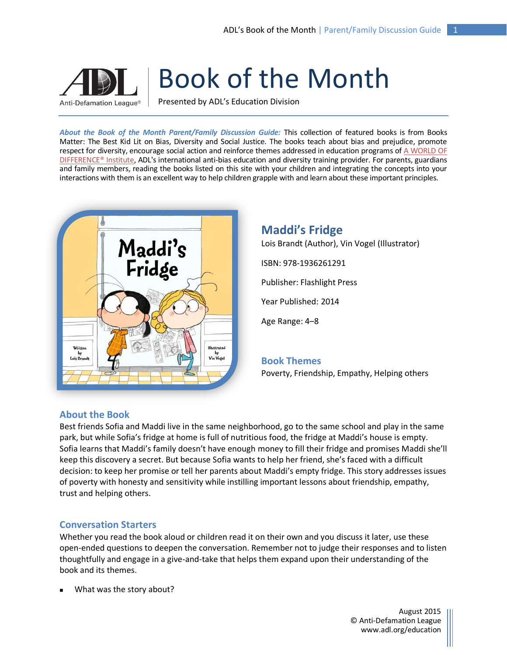# Anti-Defamation League®

Book of the Month

Presented by ADL's Education Division

*About the Book of the Month Parent/Family Discussion Guide:* This collection of featured books is from Books Matter: The Best Kid Lit on Bias, Diversity and Social Justice. The books teach about bias and prejudice, promote respect for diversity, encourage social action and reinforce themes addressed in education programs o[f A WORLD OF](http://www.adl.org/education-outreach/anti-bias-education/c/a-world-of-difference.html)  [DIFFERENCE® Institute,](http://www.adl.org/education-outreach/anti-bias-education/c/a-world-of-difference.html) ADL's international anti-bias education and diversity training provider. For parents, guardians and family members, reading the books listed on this site with your children and integrating the concepts into your interactions with them is an excellent way to help children grapple with and learn about these important principles.



## **Maddi's Fridge**

Lois Brandt (Author), Vin Vogel (Illustrator)

ISBN: 978-1936261291

Publisher: Flashlight Press

Year Published: 2014

Age Range: 4–8

## **Book Themes**

Poverty, Friendship, Empathy, Helping others

#### **About the Book**

Best friends Sofia and Maddi live in the same neighborhood, go to the same school and play in the same park, but while Sofia's fridge at home is full of nutritious food, the fridge at Maddi's house is empty. Sofia learns that Maddi's family doesn't have enough money to fill their fridge and promises Maddi she'll keep this discovery a secret. But because Sofia wants to help her friend, she's faced with a difficult decision: to keep her promise or tell her parents about Maddi's empty fridge. This story addresses issues of poverty with honesty and sensitivity while instilling important lessons about friendship, empathy, trust and helping others.

### **Conversation Starters**

Whether you read the book aloud or children read it on their own and you discuss it later, use these open-ended questions to deepen the conversation. Remember not to judge their responses and to listen thoughtfully and engage in a give-and-take that helps them expand upon their understanding of the book and its themes.

What was the story about?

August 2015 © Anti-Defamation League www.adl.org/education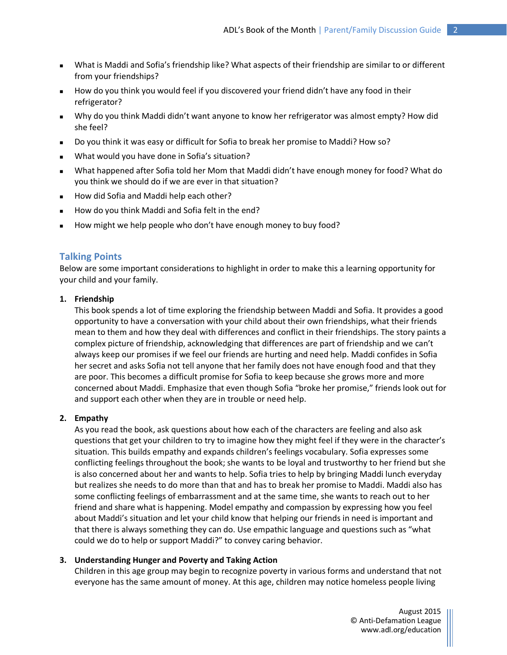- What is Maddi and Sofia's friendship like? What aspects of their friendship are similar to or different from your friendships?
- How do you think you would feel if you discovered your friend didn't have any food in their refrigerator?
- Why do you think Maddi didn't want anyone to know her refrigerator was almost empty? How did she feel?
- Do you think it was easy or difficult for Sofia to break her promise to Maddi? How so?
- What would you have done in Sofia's situation?
- What happened after Sofia told her Mom that Maddi didn't have enough money for food? What do you think we should do if we are ever in that situation?
- How did Sofia and Maddi help each other?
- How do you think Maddi and Sofia felt in the end?
- How might we help people who don't have enough money to buy food?

#### **Talking Points**

Below are some important considerations to highlight in order to make this a learning opportunity for your child and your family.

#### **1. Friendship**

This book spends a lot of time exploring the friendship between Maddi and Sofia. It provides a good opportunity to have a conversation with your child about their own friendships, what their friends mean to them and how they deal with differences and conflict in their friendships. The story paints a complex picture of friendship, acknowledging that differences are part of friendship and we can't always keep our promises if we feel our friends are hurting and need help. Maddi confides in Sofia her secret and asks Sofia not tell anyone that her family does not have enough food and that they are poor. This becomes a difficult promise for Sofia to keep because she grows more and more concerned about Maddi. Emphasize that even though Sofia "broke her promise," friends look out for and support each other when they are in trouble or need help.

#### **2. Empathy**

As you read the book, ask questions about how each of the characters are feeling and also ask questions that get your children to try to imagine how they might feel if they were in the character's situation. This builds empathy and expands children's feelings vocabulary. Sofia expresses some conflicting feelings throughout the book; she wants to be loyal and trustworthy to her friend but she is also concerned about her and wants to help. Sofia tries to help by bringing Maddi lunch everyday but realizes she needs to do more than that and has to break her promise to Maddi. Maddi also has some conflicting feelings of embarrassment and at the same time, she wants to reach out to her friend and share what is happening. Model empathy and compassion by expressing how you feel about Maddi's situation and let your child know that helping our friends in need is important and that there is always something they can do. Use empathic language and questions such as "what could we do to help or support Maddi?" to convey caring behavior.

#### **3. Understanding Hunger and Poverty and Taking Action**

Children in this age group may begin to recognize poverty in various forms and understand that not everyone has the same amount of money. At this age, children may notice homeless people living

> August 2015 © Anti-Defamation League www.adl.org/education